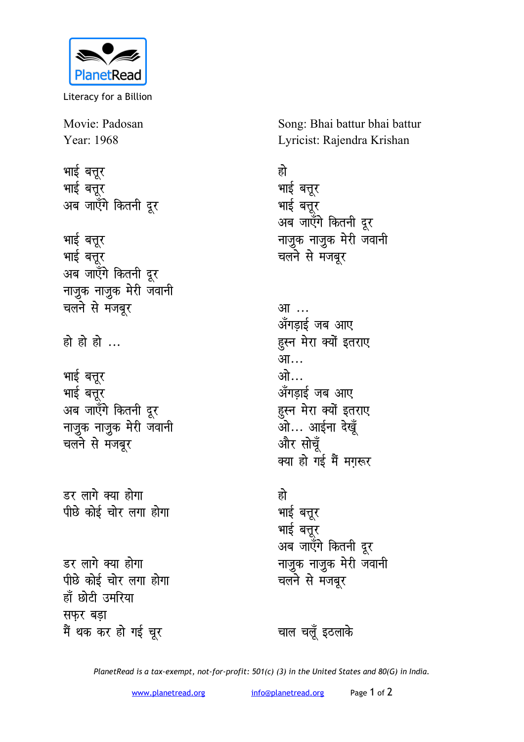

Literacy for a Billion

Movie: Padosan Year: 1968

भाई बत्तूर भाई बत्तूर अब जाएँगे कितनी दूर

**भाई** बत्तूर भाई बत्तूर अब जाएँगे कितनी दूर **नाजुक नाजुक मेरी जवानी** चलने से मंजबूर

हो हो हो ...

भाई बत्तूर भाई बत्तूर अब जाएँगे कितनी दूर **नाजुक नाजुक मेरी जवानी** चलने से मजबूर

डर लागे क्या होगा **पीछे कोई चोर लगा होगा** 

डर लागे क्या होगा पीछे कोई चोर लगा **होगा** हाँ छोटी उमरिया **<del>सफर बड़ा</del>** मैं थक कर हो गई चूर

Song: Bhai battur bhai battur Lyricist: Rajendra Krishan

## हो

भाई बत्तूर भाई बत्तूर अब जाएँगे कितनी दूर नाजुक नाजुक मेरी जवानी <u>चलने</u> से मजबूर

<u>आ</u>… अँगडाई जब आए हुस्न मेरा क्यों इतराए आ… <u>ओ…</u> अँगड़ाई जब आए हुस्न मेरा क्यों इतराए <u>आर्टना</u> देखूँ और सोच<u>ँ</u> क्या हो गई मैं मगरूर

## हो

भाई बत्तूर भाई बत्तूर अब जाएँगे कितनी दूर **नाजुक नाजुक मेरी जवानी** चलने से मंजबूर

चाल चलूँ इठलाके

*PlanetRead is a tax-exempt, not-for-profit: 501(c) (3) in the United States and 80(G) in India.*